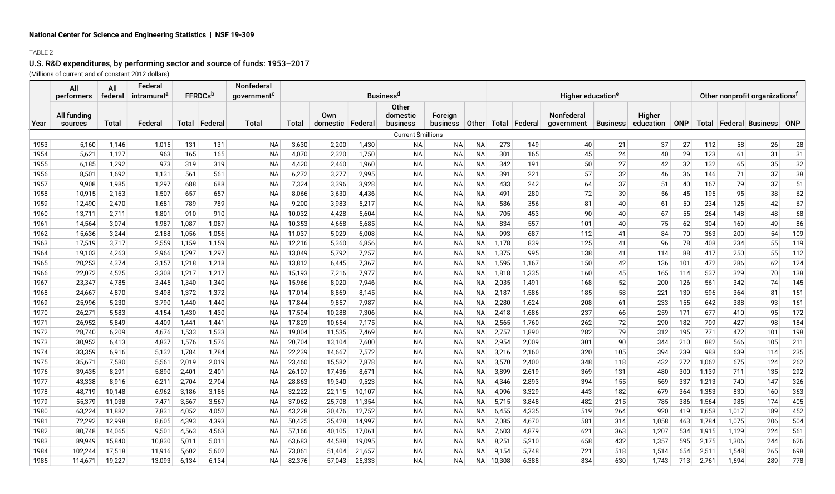# U.S. R&D expenditures, by performing sector and source of funds: 1953–2017

(Millions of current and of constant 2012 dollars)

|      | All         | All          | Federal                 |       |                            | <b>Nonfederal</b><br><b>Business<sup>d</sup></b> |        |                    |        |                    |                 |           |        |                 |                               |                 |           |            |                                            |       |                            |            |
|------|-------------|--------------|-------------------------|-------|----------------------------|--------------------------------------------------|--------|--------------------|--------|--------------------|-----------------|-----------|--------|-----------------|-------------------------------|-----------------|-----------|------------|--------------------------------------------|-------|----------------------------|------------|
|      | performers  | federal      | intramural <sup>c</sup> |       | <b>FFRDCs</b> <sup>b</sup> | aovernment <sup>c</sup>                          |        |                    |        |                    |                 |           |        |                 | Higher education <sup>e</sup> |                 |           |            | Other nonprofit organizations <sup>f</sup> |       |                            |            |
|      | All funding |              |                         |       |                            |                                                  |        | Own                |        | Other<br>domestic  | Foreign         |           |        |                 | <b>Nonfederal</b>             |                 | Higher    |            |                                            |       |                            |            |
| Year | sources     | <b>Total</b> | Federal                 |       | Total   Federal            | <b>Total</b>                                     | Total  | domestic   Federal |        | business           | <b>business</b> | Other     |        | Total   Federal | <i>dovernment</i>             | <b>Business</b> | education | <b>ONP</b> |                                            |       | Total   Federal   Business | <b>ONP</b> |
|      |             |              |                         |       |                            |                                                  |        |                    |        | Current \$millions |                 |           |        |                 |                               |                 |           |            |                                            |       |                            |            |
| 1953 | 5,160       | 1,146        | 1,015                   | 131   | 131                        | NA                                               | 3,630  | 2,200              | 1,430  | <b>NA</b>          | NA              | <b>NA</b> | 273    | 149             | 40                            | 21              | 37        | 27         | 112                                        | 58    | 26                         | 28         |
| 1954 | 5,621       | 1,127        | 963                     | 165   | 165                        | <b>NA</b>                                        | 4,070  | 2,320              | 1,750  | <b>NA</b>          | NA              | <b>NA</b> | 301    | 165             | 45                            | 24              | 40        | 29         | 123                                        | 61    | 31                         | 31         |
| 1955 | 6,185       | 1,292        | 973                     | 319   | 319                        | <b>NA</b>                                        | 4,420  | 2,460              | 1,960  | NA                 | ΝA              | <b>NA</b> | 342    | 191             | 50                            | 27              | 42        | 32         | 132                                        | 65    | 35                         | 32         |
| 1956 | 8,501       | 1,692        | 1,131                   | 561   | 561                        | <b>NA</b>                                        | 6,272  | 3,277              | 2,995  | <b>NA</b>          | NA              | <b>NA</b> | 391    | 221             | 57                            | 32              | 46        | 36         | 146                                        | 71    | 37                         | 38         |
| 1957 | 9,908       | 1,985        | 1,297                   | 688   | 688                        | <b>NA</b>                                        | 7,324  | 3,396              | 3,928  | <b>NA</b>          | ΝA              | <b>NA</b> | 433    | 242             | 64                            | 37              | 51        | 40         | 167                                        | 79    | 37                         | 51         |
| 1958 | 10,915      | 2,163        | 1,507                   | 657   | 657                        | <b>NA</b>                                        | 8,066  | 3,630              | 4,436  | <b>NA</b>          | ΝA              | <b>NA</b> | 491    | 280             | 72                            | 39              | 56        | 45         | 195                                        | 95    | 38                         | 62         |
| 1959 | 12,490      | 2,470        | 1,681                   | 789   | 789                        | <b>NA</b>                                        | 9,200  | 3,983              | 5,217  | <b>NA</b>          | NA              | <b>NA</b> | 586    | 356             | 81                            | 40              | 61        | 50         | 234                                        | 125   | 42                         | 67         |
| 1960 | 13,711      | 2,711        | 1,801                   | 910   | 910                        | <b>NA</b>                                        | 10,032 | 4,428              | 5,604  | <b>NA</b>          | ΝA              | <b>NA</b> | 705    | 453             | 90                            | 40              | 67        | 55         | 264                                        | 148   | 48                         | 68         |
| 1961 | 14,564      | 3,074        | 1,987                   | 1,087 | 1,087                      | NA                                               | 10,353 | 4,668              | 5,685  | NA                 | ΝA              | <b>NA</b> | 834    | 557             | 101                           | 40              | 75        | 62         | 304                                        | 169   | 49                         | 86         |
| 1962 | 15,636      | 3,244        | 2,188                   | 1,056 | 1,056                      | <b>NA</b>                                        | 11,037 | 5,029              | 6,008  | <b>NA</b>          | ΝA              | NA        | 993    | 687             | 112                           | 41              | 84        | 70         | 363                                        | 200   | 54                         | 109        |
| 1963 | 17,519      | 3,717        | 2,559                   | 1,159 | 1,159                      | <b>NA</b>                                        | 12,216 | 5,360              | 6,856  | <b>NA</b>          | ΝA              | <b>NA</b> | 1,178  | 839             | 125                           | 41              | 96        | 78         | 408                                        | 234   | 55                         | 119        |
| 1964 | 19,103      | 4,263        | 2,966                   | 1,297 | 1,297                      | <b>NA</b>                                        | 13,049 | 5,792              | 7,257  | NA                 | NA              | <b>NA</b> | 1,375  | 995             | 138                           | 41              | 114       | 88         | 417                                        | 250   | 55                         | 112        |
| 1965 | 20,253      | 4,374        | 3,157                   | 1,218 | 1,218                      | NA                                               | 13,812 | 6,445              | 7,367  | NA                 | ΝA              | NΑ        | 1,595  | 1,167           | 150                           | 42              | 136       | 101        | 472                                        | 286   | 62                         | 124        |
| 1966 | 22,072      | 4,525        | 3,308                   | 1,217 | 1,217                      | <b>NA</b>                                        | 15,193 | 7,216              | 7,977  | <b>NA</b>          | ΝA              | NΑ        | 1,818  | 1,335           | 160                           | 45              | 165       | 114        | 537                                        | 329   | 70                         | 138        |
| 1967 | 23,347      | 4,785        | 3,445                   | 1,340 | 1,340                      | <b>NA</b>                                        | 15,966 | 8,020              | 7,946  | <b>NA</b>          | NA              | NA        | 2,035  | 1,491           | 168                           | 52              | 200       | 126        | 561                                        | 342   | 74                         | 145        |
| 1968 | 24,667      | 4,870        | 3,498                   | 1,372 | 1,372                      | ΝA                                               | 17,014 | 8,869              | 8,145  | <b>NA</b>          | NA              | NΑ        | 2,187  | 1,586           | 185                           | 58              | 221       | 139        | 596                                        | 364   | 81                         | 151        |
| 1969 | 25,996      | 5,230        | 3,790                   | 1,440 | 1,440                      | ΝA                                               | 17,844 | 9,857              | 7,987  | <b>NA</b>          | ΝA              | <b>NA</b> | 2,280  | 1,624           | 208                           | 61              | 233       | 155        | 642                                        | 388   | 93                         | 161        |
| 1970 | 26,271      | 5,583        | 4,154                   | 1,430 | 1,430                      | <b>NA</b>                                        | 17,594 | 10,288             | 7,306  | <b>NA</b>          | ΝA              | <b>NA</b> | 2,418  | 1,686           | 237                           | 66              | 259       | 171        | 677                                        | 410   | 95                         | 172        |
| 1971 | 26,952      | 5,849        | 4,409                   | 1,441 | 1,441                      | <b>NA</b>                                        | 17,829 | 10,654             | 7,175  | <b>NA</b>          | ΝA              | <b>NA</b> | 2,565  | 1,760           | 262                           | 72              | 290       | 182        | 709                                        | 427   | 98                         | 184        |
| 1972 | 28,740      | 6,209        | 4,676                   | 1,533 | 1,533                      | <b>NA</b>                                        | 19,004 | 11,535             | 7,469  | <b>NA</b>          | ΝA              | NΑ        | 2,757  | 1,890           | 282                           | 79              | 312       | 195        | 771                                        | 472   | 101                        | 198        |
| 1973 | 30,952      | 6,413        | 4,837                   | 1,576 | 1,576                      | <b>NA</b>                                        | 20,704 | 13,104             | 7,600  | <b>NA</b>          | ΝA              | NΑ        | 2,954  | 2,009           | 301                           | 90              | 344       | 210        | 882                                        | 566   | 105                        | 211        |
| 1974 | 33,359      | 6,916        | 5,132                   | 1,784 | 1,784                      | <b>NA</b>                                        | 22,239 | 14,667             | 7,572  | <b>NA</b>          | ΝA              | NΑ        | 3,216  | 2,160           | 320                           | 105             | 394       | 239        | 988                                        | 639   | 114                        | 235        |
| 1975 | 35,671      | 7,580        | 5,561                   | 2,019 | 2,019                      | <b>NA</b>                                        | 23,460 | 15,582             | 7,878  | <b>NA</b>          | ΝA              | NΑ        | 3,570  | 2,400           | 348                           | 118             | 432       | 272        | 1,062                                      | 675   | 124                        | 262        |
| 1976 | 39,435      | 8,291        | 5,890                   | 2,401 | 2,401                      | <b>NA</b>                                        | 26,107 | 17,436             | 8,671  | <b>NA</b>          | ΝA              | NΑ        | 3,899  | 2,619           | 369                           | 131             | 480       | 300        | 1,139                                      | 711   | 135                        | 292        |
| 1977 | 43,338      | 8,916        | 6,211                   | 2,704 | 2,704                      | <b>NA</b>                                        | 28,863 | 19,340             | 9,523  | <b>NA</b>          | ΝA              | <b>NA</b> | 4,346  | 2,893           | 394                           | 155             | 569       | 337        | 1,213                                      | 740   | 147                        | 326        |
| 1978 | 48,719      | 10,148       | 6,962                   | 3,186 | 3,186                      | <b>NA</b>                                        | 32,222 | 22,115             | 10,107 | NA                 | NA              | <b>NA</b> | 4,996  | 3,329           | 443                           | 182             | 679       | 364        | 1,353                                      | 830   | 160                        | 363        |
| 1979 | 55,379      | 11,038       | 7,471                   | 3,567 | 3,567                      | <b>NA</b>                                        | 37,062 | 25,708             | 11,354 | <b>NA</b>          | NA              | <b>NA</b> | 5,715  | 3,848           | 482                           | 215             | 785       | 386        | 1,564                                      | 985   | 174                        | 405        |
| 1980 | 63,224      | 11,882       | 7,831                   | 4,052 | 4,052                      | <b>NA</b>                                        | 43,228 | 30,476             | 12,752 | <b>NA</b>          | ΝA              | <b>NA</b> | 6,455  | 4,335           | 519                           | 264             | 920       | 419        | 1,658                                      | 1,017 | 189                        | 452        |
| 1981 | 72,292      | 12,998       | 8,605                   | 4,393 | 4,393                      | <b>NA</b>                                        | 50,425 | 35,428             | 14,997 | <b>NA</b>          | NA              | NA        | 7,085  | 4,670           | 581                           | 314             | 1,058     | 463        | 1,784                                      | 1,075 | 206                        | 504        |
| 1982 | 80,748      | 14,065       | 9,501                   | 4,563 | 4,563                      | ΝA                                               | 57,166 | 40,105             | 17,061 | <b>NA</b>          | NA              | <b>NA</b> | 7,603  | 4,879           | 621                           | 363             | 1,207     | 534        | 1,915                                      | 1,129 | 224                        | 561        |
| 1983 | 89,949      | 15,840       | 10,830                  | 5,011 | 5,011                      | NA                                               | 63,683 | 44,588             | 19,095 | <b>NA</b>          | ΝA              | <b>NA</b> | 8,251  | 5,210           | 658                           | 432             | 1,357     | 595        | 2,175                                      | 1,306 | 244                        | 626        |
| 1984 | 102,244     | 17,518       | 11,916                  | 5,602 | 5,602                      | ΝA                                               | 73,061 | 51.404             | 21,657 | <b>NA</b>          | <b>NA</b>       | NA        | 9,154  | 5,748           | 721                           | 518             | 1,514     | 654        | 2,511                                      | 1,548 | 265                        | 698        |
| 1985 | 114,671     | 19,227       | 13,093                  | 6,134 | 6,134                      | NA                                               | 82,376 | 57,043             | 25,333 | <b>NA</b>          | <b>NA</b>       | <b>NA</b> | 10,308 | 6,388           | 834                           | 630             | 1.743     | 713        | 2,761                                      | 1,694 | 289                        | 778        |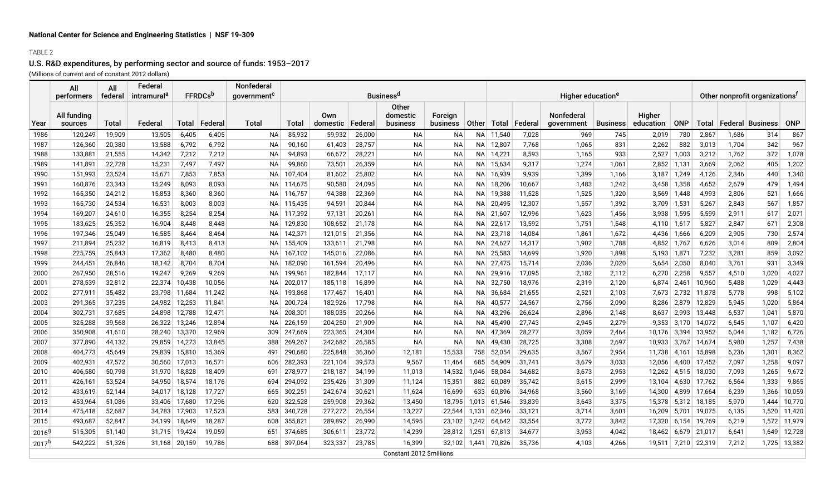# U.S. R&D expenditures, by performing sector and source of funds: 1953–2017

(Millions of current and of constant 2012 dollars)

|                   | All<br>performers      | All<br>federal | Federal<br>intramural <sup>a</sup> |               | <b>FFRDCs</b> <sup>b</sup> | <b>Nonfederal</b><br>government <sup>c</sup> |         |                 |         | <b>Business<sup>d</sup></b>   |                            |           |        |           | Higher education <sup>e</sup> |                 | Other nonprofit organizations <sup>f</sup> |            |        |       |                            |              |
|-------------------|------------------------|----------------|------------------------------------|---------------|----------------------------|----------------------------------------------|---------|-----------------|---------|-------------------------------|----------------------------|-----------|--------|-----------|-------------------------------|-----------------|--------------------------------------------|------------|--------|-------|----------------------------|--------------|
| Year              | All funding<br>sources | Total          | Federal                            | Total         | ∣Federal                   | Total                                        | Total   | Own<br>domestic | Federal | Other<br>domestic<br>business | Foreign<br><b>business</b> | Other     | Total  | ∣ Federal | Nonfederal<br>government      | <b>Business</b> | Higher<br>education                        | <b>ONP</b> |        |       | Total   Federal   Business | ONP          |
| 1986              | 120,249                | 19,909         | 13,505                             | 6,405         | 6,405                      | <b>NA</b>                                    | 85,932  | 59,932          | 26,000  | <b>NA</b>                     | <b>NA</b>                  | NA I      | 11,540 | 7,028     | 969                           | 745             | 2,019                                      | 780        | 2,867  | 1,686 | 314                        | 867          |
| 1987              | 126,360                | 20,380         | 13,588                             | 6,792         | 6,792                      | <b>NA</b>                                    | 90,160  | 61,403          | 28,757  | <b>NA</b>                     | ΝA                         | NA        | 12,807 | 7,768     | 1,065                         | 831             | 2,262                                      | 882        | 3,013  | 1,704 | 342                        | 967          |
| 1988              | 133,881                | 21,555         | 14,342                             | 7,212         | 7,212                      | <b>NA</b>                                    | 94,893  | 66,672          | 28,221  | <b>NA</b>                     | <b>NA</b>                  | NA.       | 14,221 | 8,593     | 1,165                         | 933             | 2,527                                      | 1,003      | 3,212  | 1,762 | 372                        | 1,078        |
| 1989              | 141,891                | 22,728         | 15,231                             | 7,497         | 7,497                      | <b>NA</b>                                    | 99,860  | 73,501          | 26,359  | <b>NA</b>                     | <b>NA</b>                  | <b>NA</b> | 15,634 | 9,317     | 1,274                         | 1,061           | 2,852                                      | 1,131      | 3,669  | 2,062 | 405                        | 1,202        |
| 1990              | 151,993                | 23,524         | 15,671                             | 7,853         | 7,853                      | <b>NA</b>                                    | 107,404 | 81,602          | 25,802  | <b>NA</b>                     | <b>NA</b>                  | <b>NA</b> | 16,939 | 9,939     | 1,399                         | 1,166           | 3,187                                      | 1,249      | 4,126  | 2,346 | 440                        | 1,340        |
| 1991              | 160,876                | 23,343         | 15,249                             | 8,093         | 8,093                      | NA.                                          | 114,675 | 90,580          | 24,095  | <b>NA</b>                     | <b>NA</b>                  | <b>NA</b> | 18,206 | 10,667    | 1,483                         | 1,242           | 3,458                                      | 1,358      | 4,652  | 2,679 | 479                        | 1,494        |
| 1992              | 165,350                | 24,212         | 15,853                             | 8,360         | 8,360                      | ΝA                                           | 116,757 | 94,388          | 22,369  | <b>NA</b>                     | <b>NA</b>                  | <b>NA</b> | 19,388 | 11,528    | 1,525                         | 1,320           | 3,569                                      | 1.448      | 4,993  | 2,806 | 521                        | 1,666        |
| 1993              | 165,730                | 24,534         | 16,531                             | 8,003         | 8,003                      | NA.                                          | 115,435 | 94,591          | 20,844  | <b>NA</b>                     | <b>NA</b>                  | <b>NA</b> | 20,495 | 12,307    | 1,557                         | 1,392           | 3,709                                      | 1,531      | 5,267  | 2,843 | 567                        | 1,857        |
| 1994              | 169,207                | 24,610         | 16,355                             | 8,254         | 8,254                      | NA                                           | 117,392 | 97,131          | 20,261  | <b>NA</b>                     | <b>NA</b>                  | NA        | 21,607 | 12,996    | 1,623                         | 1,456           | 3,938                                      | 1,595      | 5,599  | 2,911 | 617                        | 2,071        |
| 1995              | 183,625                | 25,352         | 16,904                             | 8,448         | 8,448                      | NА                                           | 129,830 | 108,652         | 21,178  | <b>NA</b>                     | ΝA                         | NА        | 22,617 | 13,592    | 1,751                         | 1,548           | 4,110                                      | 1,617      | 5,827  | 2,847 | 671                        | 2,308        |
| 1996              | 197,346                | 25,049         | 16,585                             | 8,464         | 8,464                      | NА                                           | 142,371 | 121,015         | 21,356  | <b>NA</b>                     | NA                         | NA        | 23,718 | 14,084    | 1,861                         | 1,672           | 4,436                                      | 1,666      | 6,209  | 2,905 | 730                        | 2,574        |
| 1997              | 211,894                | 25,232         | 16,819                             | 8,413         | 8,413                      | ΝA                                           | 155,409 | 133,611         | 21,798  | <b>NA</b>                     | NA                         | NA        | 24,627 | 14,317    | 1,902                         | 1,788           | 4,852                                      | 1,767      | 6,626  | 3,014 | 809                        | 2,804        |
| 1998              | 225,759                | 25,843         | 17,362                             | 8,480         | 8,480                      | ΝA                                           | 167,102 | 145,016         | 22,086  | <b>NA</b>                     | NA                         | <b>NA</b> | 25,583 | 14,699    | 1,920                         | 1,898           | 5,193                                      | 1,871      | 7,232  | 3,281 | 859                        | 3,092        |
| 1999              | 244,451                | 26,846         | 18,142                             | 8,704         | 8,704                      | ΝA                                           | 182,090 | 161,594         | 20,496  | <b>NA</b>                     | NA                         | <b>NA</b> | 27,475 | 15,714    | 2,036                         | 2,020           | 5,654                                      | 2,050      | 8,040  | 3,761 | 931                        | 3,349        |
| 2000              | 267,950                | 28,516         | 19,247                             | 9,269         | 9,269                      | NA.                                          | 199,961 | 182,844         | 17,117  | <b>NA</b>                     | NA                         | NA        | 29,916 | 17,095    | 2,182                         | 2,112           | 6,270                                      | 2,258      | 9,557  | 4,510 | 1,020                      | 4,027        |
| 2001              | 278,539                | 32,812         | 22,374                             | 10,438        | 10,056                     | ΝA                                           | 202,017 | 185,118         | 16,899  | <b>NA</b>                     | NA                         | <b>NA</b> | 32,750 | 18,976    | 2,319                         | 2,120           | 6,874                                      | 2,461      | 10,960 | 5,488 | 1,029                      | 4,443        |
| 2002              | 277,911                | 35,482         | 23,798                             | 11,684        | 11,242                     | NА                                           | 193,868 | 177,467         | 16,401  | <b>NA</b>                     | NA                         | <b>NA</b> | 36,684 | 21,655    | 2,521                         | 2,103           | 7,673                                      | 2,732      | 11,878 | 5,778 | 998                        | 5,102        |
| 2003              | 291,365                | 37,235         | 24,982                             | 12,253        | 11,841                     | NА                                           | 200,724 | 182,926         | 17,798  | <b>NA</b>                     | NA                         | <b>NA</b> | 40,577 | 24,567    | 2,756                         | 2,090           | 8,286                                      | 2,879      | 12,829 | 5,945 | 1,020                      | 5,864        |
| 2004              | 302,731                | 37,685         | 24,898                             | 12,788        | 12,471                     | NА                                           | 208,301 | 188,035         | 20,266  | <b>NA</b>                     | NA                         | <b>NA</b> | 43,296 | 26,624    | 2,896                         | 2,148           | 8,637                                      | 2,993      | 13,448 | 6,537 | 1,041                      | 5,870        |
| 2005              | 325,288                | 39,568         | 26,322                             | 13,246        | 12,894                     | NA                                           | 226,159 | 204,250         | 21,909  | NA                            | NA                         | <b>NA</b> | 45,490 | 27,743    | 2,945                         | 2,279           | 9,353                                      | 3,170      | 14,072 | 6,545 | 1,107                      | 6,420        |
| 2006              | 350,908                | 41,610         | 28,240                             | 13,370        | 12,969                     | 309                                          | 247,669 | 223,365         | 24,304  | <b>NA</b>                     | NA                         | <b>NA</b> | 47,369 | 28,277    | 3,059                         | 2,464           | 10,176                                     | 3,394      | 13,952 | 6,044 | 1,182                      | 6,726        |
| 2007              | 377,890                | 44,132         | 29,859                             | 14,273        | 13,845                     | 388                                          | 269,267 | 242,682         | 26,585  | <b>NA</b>                     | <b>NA</b>                  | <b>NA</b> | 49,430 | 28,725    | 3,308                         | 2,697           | 10,933                                     | 3,767      | 14,674 | 5,980 | 1,257                      | 7,438        |
| 2008              | 404,773                | 45,649         | 29,839                             | 15,810        | 15,369                     | 491                                          | 290,680 | 225,848         | 36,360  | 12,181                        | 15,533                     | 758       | 52,054 | 29,635    | 3,567                         | 2,954           | 11,738                                     | 4,161      | 15,898 | 6,236 | 1,301                      | 8,362        |
| 2009              | 402,931                | 47,572         | 30,560                             | 17,013        | 16,571                     | 606                                          | 282,393 | 221,104         | 39,573  | 9,567                         | 11,464                     | 685       | 54,909 | 31,741    | 3,679                         | 3,033           | 12,056                                     | 4,400      | 17,452 | 7,097 | 1,258                      | 9,097        |
| 2010              | 406,580                | 50,798         | 31,970                             | 18,828        | 18,409                     | 691                                          | 278,977 | 218,187         | 34,199  | 11,013                        | 14,532                     | 1,046     | 58,084 | 34,682    | 3,673                         | 2,953           | 12,262                                     | 4,515      | 18,030 | 7,093 | 1,265                      | 9,672        |
| 2011              | 426,161                | 53,524         | 34,950                             | 18,574        | 18,176                     | 694                                          | 294,092 | 235,426         | 31,309  | 11,124                        | 15,351                     | 882       | 60,089 | 35,742    | 3,615                         | 2,999           | 13,104                                     | 4,630      | 17,762 | 6,564 | 1,333                      | 9,865        |
| 2012              | 433,619                | 52,144         | 34,017                             | 18,128        | 17,727                     | 665                                          | 302,251 | 242,674         | 30,621  | 11,624                        | 16,699                     | 633       | 60,896 | 34,968    | 3,560                         | 3,169           | 14,300                                     | 4.899      | 17,664 | 6,239 | 1,366                      | 10,059       |
| 2013              | 453,964                | 51,086         | 33,406                             | 17,680        | 17,296                     | 620                                          | 322,528 | 259,908         | 29,362  | 13,450                        | 18,795                     | 1,013     | 61,546 | 33,839    | 3,643                         | 3,375           | 15,378                                     | 5,312      | 18,185 | 5,970 | 1.444                      | 10,770       |
| 2014              | 475,418                | 52,687         | 34,783                             | 17,903        | 17,523                     | 583                                          | 340,728 | 277,272         | 26,554  | 13,227                        | 22,544                     | 1,131     | 62,346 | 33,121    | 3,714                         | 3,601           | 16,209                                     | 5,701      | 19,075 | 6,135 | 1,520                      | 11,420       |
| 2015              | 493,687                | 52,847         | 34,199                             | 18,649        | 18,287                     | 608                                          | 355,821 | 289,892         | 26,990  | 14,595                        | 23,102                     | 1,242     | 64,642 | 33,554    | 3,772                         | 3,842           | 17,320                                     | 6,154      | 19,769 | 6,219 | 1,572                      | 11,979       |
| 20169             | 515,305                | 51,140         |                                    | 31,715 19,424 | 19,059                     | 651                                          | 374,685 | 306,611         | 23,772  | 14,239                        | 28,812                     | 1,251     | 67,813 | 34,677    | 3,953                         | 4,042           | 18,462                                     | 6,679      | 21,017 | 6,641 | 1,649                      | 12,728       |
| 2017 <sup>h</sup> | 542,222                | 51,326         | 31,168                             | 20,159        | 19,786                     | 688                                          | 397,064 | 323,337         | 23,785  | 16,399                        | 32,102                     | 1,441     | 70,826 | 35,736    | 4,103                         | 4,266           | 19,511                                     | 7,210      | 22,319 | 7,212 |                            | 1,725 13,382 |
|                   |                        |                |                                    |               |                            |                                              |         |                 |         | Constant 2012 \$millions      |                            |           |        |           |                               |                 |                                            |            |        |       |                            |              |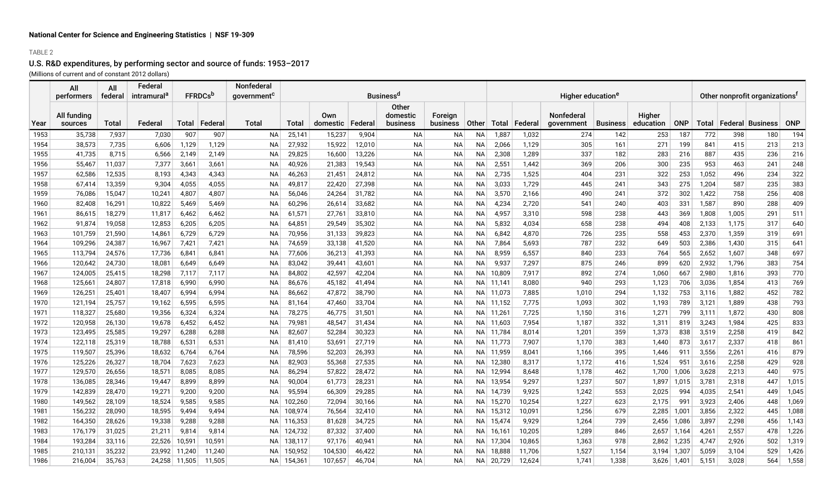# U.S. R&D expenditures, by performing sector and source of funds: 1953–2017

(Millions of current and of constant 2012 dollars)

|      | All<br>performers | All<br>federal | Federal<br>intramural <sup>c</sup> |               | <b>FFRDCs</b> <sup>c</sup> | Nonfederal<br>aovernment <sup>c</sup> |         |          |           | <b>Business<sup>d</sup></b> |           |           | Higher education <sup>e</sup> |          | Other nonprofit organizations <sup>f</sup> |                 |           |            |       |       |                            |            |
|------|-------------------|----------------|------------------------------------|---------------|----------------------------|---------------------------------------|---------|----------|-----------|-----------------------------|-----------|-----------|-------------------------------|----------|--------------------------------------------|-----------------|-----------|------------|-------|-------|----------------------------|------------|
|      |                   |                |                                    |               |                            |                                       |         |          |           |                             |           |           |                               |          |                                            |                 |           |            |       |       |                            |            |
|      | All funding       |                |                                    |               |                            |                                       |         | Own      |           | Other<br>domestic           | Foreign   |           |                               |          | <b>Nonfederal</b>                          |                 | Higher    |            |       |       |                            |            |
| Year | sources           | <b>Total</b>   | Federal                            |               | Total Federal              | Total                                 | Total   | domestic | ∣ Federal | business                    | business  | ∣ Other I | Total                         | ∣Federal | government                                 | <b>Business</b> | education | <b>ONP</b> |       |       | Total   Federal   Business | <b>ONP</b> |
| 1953 | 35,738            | 7,937          | 7,030                              | 907           | 907                        | <b>NA</b>                             | 25,141  | 15,237   | 9,904     | <b>NA</b>                   | <b>NA</b> | <b>NA</b> | 1,887                         | 1,032    | 274                                        | 142             | 253       | 187        | 772   | 398   | 180                        | 194        |
| 1954 | 38,573            | 7,735          | 6,606                              | 1,129         | 1,129                      | ΝA                                    | 27,932  | 15,922   | 12,010    | NА                          | NА        | <b>NA</b> | 2,066                         | 1,129    | 305                                        | 161             | 271       | 199        | 841   | 415   | 213                        | 213        |
| 1955 | 41,735            | 8,715          | 6,566                              | 2,149         | 2,149                      | <b>NA</b>                             | 29,825  | 16,600   | 13,226    | <b>NA</b>                   | NА        | <b>NA</b> | 2,308                         | 1,289    | 337                                        | 182             | 283       | 216        | 887   | 435   | 236                        | 216        |
| 1956 | 55,467            | 11,037         | 7,377                              | 3,661         | 3,661                      | <b>NA</b>                             | 40,926  | 21,383   | 19,543    | <b>NA</b>                   | <b>NA</b> | <b>NA</b> | 2,551                         | 1,442    | 369                                        | 206             | 300       | 235        | 953   | 463   | 241                        | 248        |
| 1957 | 62,586            | 12,535         | 8,193                              | 4,343         | 4,343                      | <b>NA</b>                             | 46,263  | 21,451   | 24,812    | <b>NA</b>                   | NA        | <b>NA</b> | 2,735                         | 1,525    | 404                                        | 231             | 322       | 253        | 1,052 | 496   | 234                        | 322        |
| 1958 | 67,414            | 13,359         | 9,304                              | 4,055         | 4,055                      | <b>NA</b>                             | 49,817  | 22,420   | 27,398    | <b>NA</b>                   | NA        | <b>NA</b> | 3,033                         | 1,729    | 445                                        | 241             | 343       | 275        | 1,204 | 587   | 235                        | 383        |
| 1959 | 76,086            | 15,047         | 10,241                             | 4,807         | 4,807                      | <b>NA</b>                             | 56,046  | 24,264   | 31,782    | <b>NA</b>                   | NА        | <b>NA</b> | 3,570                         | 2,166    | 490                                        | 241             | 372       | 302        | 1,422 | 758   | 256                        | 408        |
| 1960 | 82,408            | 16,291         | 10,822                             | 5,469         | 5,469                      | NA                                    | 60,296  | 26,614   | 33,682    | <b>NA</b>                   | NА        | <b>NA</b> | 4,234                         | 2,720    | 541                                        | 240             | 403       | 331        | 1,587 | 890   | 288                        | 409        |
| 1961 | 86,615            | 18,279         | 11,817                             | 6,462         | 6,462                      | NA                                    | 61,571  | 27,761   | 33,810    | <b>NA</b>                   | <b>NA</b> | <b>NA</b> | 4,957                         | 3,310    | 598                                        | 238             | 443       | 369        | 1,808 | 1,005 | 291                        | 511        |
| 1962 | 91,874            | 19,058         | 12,853                             | 6,205         | 6,205                      | <b>NA</b>                             | 64,851  | 29,549   | 35,302    | <b>NA</b>                   | NА        | <b>NA</b> | 5,832                         | 4,034    | 658                                        | 238             | 494       | 408        | 2,133 | 1,175 | 317                        | 640        |
| 1963 | 101,759           | 21,590         | 14,861                             | 6,729         | 6,729                      | <b>NA</b>                             | 70,956  | 31,133   | 39,823    | <b>NA</b>                   | NА        | <b>NA</b> | 6,842                         | 4,870    | 726                                        | 235             | 558       | 453        | 2,370 | 1,359 | 319                        | 691        |
| 1964 | 109,296           | 24,387         | 16,967                             | 7,421         | 7,421                      | NA                                    | 74,659  | 33,138   | 41,520    | <b>NA</b>                   | NА        | <b>NA</b> | 7,864                         | 5,693    | 787                                        | 232             | 649       | 503        | 2,386 | 1,430 | 315                        | 641        |
| 1965 | 113,794           | 24,576         | 17,736                             | 6,841         | 6,841                      | <b>NA</b>                             | 77,606  | 36,213   | 41,393    | <b>NA</b>                   | <b>NA</b> | <b>NA</b> | 8,959                         | 6,557    | 840                                        | 233             | 764       | 565        | 2,652 | 1,607 | 348                        | 697        |
| 1966 | 120,642           | 24,730         | 18,081                             | 6,649         | 6,649                      | <b>NA</b>                             | 83,042  | 39,441   | 43,601    | <b>NA</b>                   | NА        | <b>NA</b> | 9,937                         | 7,297    | 875                                        | 246             | 899       | 620        | 2,932 | 1,796 | 383                        | 754        |
| 1967 | 124,005           | 25,415         | 18,298                             | 7,117         | 7,117                      | ΝA                                    | 84,802  | 42,597   | 42,204    | <b>NA</b>                   | NА        | <b>NA</b> | 10,809                        | 7,917    | 892                                        | 274             | 1,060     | 667        | 2,980 | 1,816 | 393                        | 770        |
| 1968 | 125,661           | 24,807         | 17,818                             | 6,990         | 6,990                      | ΝA                                    | 86,676  | 45,182   | 41,494    | <b>NA</b>                   | ΝA        | NА        | 11,141                        | 8,080    | 940                                        | 293             | 1,123     | 706        | 3,036 | 1,854 | 413                        | 769        |
| 1969 | 126,251           | 25,401         | 18,407                             | 6,994         | 6,994                      | ΝA                                    | 86,662  | 47,872   | 38,790    | <b>NA</b>                   | NA        | NА        | 11,073                        | 7,885    | 1,010                                      | 294             | 1,132     | 753        | 3,116 | 1,882 | 452                        | 782        |
| 1970 | 121,194           | 25,757         | 19,162                             | 6,595         | 6,595                      | <b>NA</b>                             | 81,164  | 47,460   | 33,704    | <b>NA</b>                   | NА        | NA        | 11,152                        | 7,775    | 1,093                                      | 302             | 1,193     | 789        | 3,121 | 1,889 | 438                        | 793        |
| 1971 | 118,327           | 25,680         | 19,356                             | 6,324         | 6,324                      | <b>NA</b>                             | 78,275  | 46,775   | 31,501    | <b>NA</b>                   | NА        | NА        | 11,261                        | 7,725    | 1,150                                      | 316             | 1,271     | 799        | 3,111 | 1,872 | 430                        | 808        |
| 1972 | 120,958           | 26,130         | 19,678                             | 6,452         | 6,452                      | <b>NA</b>                             | 79,981  | 48,547   | 31,434    | <b>NA</b>                   | <b>NA</b> | <b>NA</b> | 11,603                        | 7,954    | 1,187                                      | 332             | 1,311     | 819        | 3,243 | 1,984 | 425                        | 833        |
| 1973 | 123,495           | 25,585         | 19,297                             | 6,288         | 6,288                      | <b>NA</b>                             | 82,607  | 52,284   | 30,323    | <b>NA</b>                   | NA        | NА        | 11,784                        | 8,014    | 1,201                                      | 359             | 1,373     | 838        | 3,519 | 2,258 | 419                        | 842        |
| 1974 | 122,118           | 25,319         | 18,788                             | 6,531         | 6,531                      | <b>NA</b>                             | 81,410  | 53,691   | 27,719    | <b>NA</b>                   | NА        | NА        | 11,773                        | 7,907    | 1,170                                      | 383             | 1,440     | 873        | 3,617 | 2,337 | 418                        | 861        |
| 1975 | 119,507           | 25,396         | 18,632                             | 6,764         | 6,764                      | <b>NA</b>                             | 78,596  | 52,203   | 26,393    | <b>NA</b>                   | <b>NA</b> | NА        | 11,959                        | 8,041    | 1,166                                      | 395             | 1.446     | 911        | 3,556 | 2,261 | 416                        | 879        |
| 1976 | 125,226           | 26,327         | 18,704                             | 7,623         | 7,623                      | NA                                    | 82,903  | 55,368   | 27,535    | <b>NA</b>                   | NA        | <b>NA</b> | 12,380                        | 8,317    | 1,172                                      | 416             | 1,524     | 951        | 3,616 | 2,258 | 429                        | 928        |
| 1977 | 129,570           | 26,656         | 18,571                             | 8,085         | 8,085                      | <b>NA</b>                             | 86,294  | 57,822   | 28,472    | <b>NA</b>                   | ΝA        | <b>NA</b> | 12,994                        | 8,648    | 1,178                                      | 462             | 1,700     | 1,006      | 3,628 | 2,213 | 440                        | 975        |
| 1978 | 136,085           | 28,346         | 19,447                             | 8,899         | 8,899                      | <b>NA</b>                             | 90,004  | 61,773   | 28,231    | <b>NA</b>                   | <b>NA</b> | <b>NA</b> | 13,954                        | 9,297    | 1,237                                      | 507             | 1,897     | 1,015      | 3,781 | 2,318 | 447                        | 1,015      |
| 1979 | 142,839           | 28,470         | 19,271                             | 9,200         | 9,200                      | <b>NA</b>                             | 95,594  | 66,309   | 29,285    | <b>NA</b>                   | <b>NA</b> | <b>NA</b> | 14,739                        | 9,925    | 1,242                                      | 553             | 2,025     | 994        | 4,035 | 2,541 | 449                        | 1,045      |
| 1980 | 149,562           | 28,109         | 18,524                             | 9,585         | 9,585                      | <b>NA</b>                             | 102,260 | 72,094   | 30,166    | <b>NA</b>                   | <b>NA</b> | <b>NA</b> | 15,270                        | 10,254   | 1,227                                      | 623             | 2,175     | 991        | 3,923 | 2,406 | 448                        | 1,069      |
| 1981 | 156,232           | 28,090         | 18,595                             | 9,494         | 9,494                      | ΝA                                    | 108,974 | 76,564   | 32,410    | <b>NA</b>                   | ΝA        | ΝA        | 15,312                        | 10,091   | 1,256                                      | 679             | 2,285     | 1,001      | 3,856 | 2,322 | 445                        | 1,088      |
| 1982 | 164,350           | 28,626         | 19,338                             | 9,288         | 9,288                      | <b>NA</b>                             | 116,353 | 81,628   | 34,725    | <b>NA</b>                   | NА        | NА        | 15,474                        | 9,929    | 1,264                                      | 739             | 2,456     | 1,086      | 3,897 | 2,298 | 456                        | 1,143      |
| 1983 | 176,179           | 31,025         | 21,211                             | 9,814         | 9,814                      | ΝA                                    | 124,732 | 87,332   | 37,400    | <b>NA</b>                   | NA        | NА        | 16,161                        | 10,205   | 1,289                                      | 846             | 2,657     | 1,164      | 4,261 | 2,557 | 478                        | 1,226      |
| 1984 | 193,284           | 33,116         | 22,526                             | 10,591        | 10,591                     | NА                                    | 138,117 | 97,176   | 40,941    | <b>NA</b>                   | ΝA        | NА        | 17,304                        | 10,865   | 1,363                                      | 978             | 2,862     | 1,235      | 4,747 | 2,926 | 502                        | 1,319      |
| 1985 | 210,131           | 35,232         | 23,992                             | 11,240        | 11,240                     | NА                                    | 150,952 | 104,530  | 46,422    | <b>NA</b>                   | NA        | NA        | 18,888                        | 11,706   | 1,527                                      | 1,154           | 3.194     | 1,307      | 5,059 | 3,104 | 529                        | 1,426      |
| 1986 | 216,004           | 35,763         |                                    | 24,258 11,505 | 11,505                     | NA.                                   | 154,361 | 107,657  | 46,704    | <b>NA</b>                   | NA        | <b>NA</b> | 20,729                        | 12,624   | 1.741                                      | 1,338           | 3.626     | 1.401      | 5,151 | 3,028 | 564                        | 1,558      |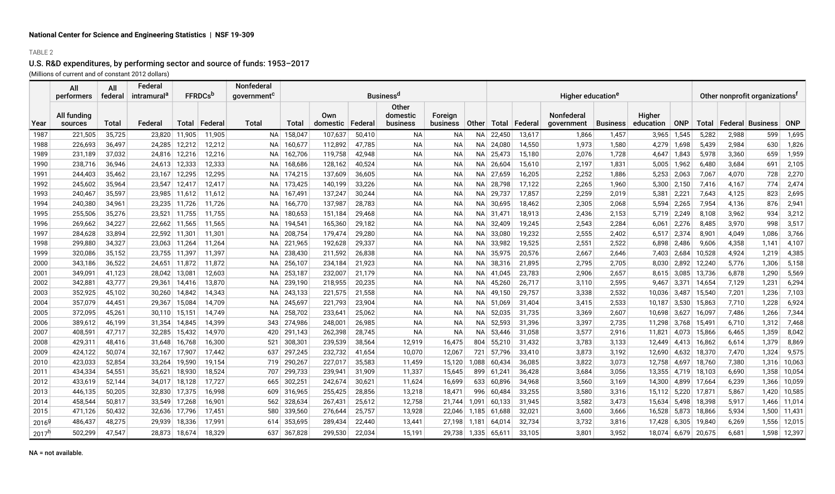# U.S. R&D expenditures, by performing sector and source of funds: 1953–2017

(Millions of current and of constant 2012 dollars)

|                   | All<br>performers      | All<br>federal | Federal<br>intramural <sup>e</sup> | <b>FFRDCs</b> <sup>b</sup> |           | <b>Nonfederal</b><br>government <sup>c</sup> |         |                 |         | <b>Business<sup>d</sup></b>          |                     |              |        |         | Higher education <sup>e</sup>   |                 |                     |            |        |       | Other nonprofit organizations <sup>f</sup> |            |
|-------------------|------------------------|----------------|------------------------------------|----------------------------|-----------|----------------------------------------------|---------|-----------------|---------|--------------------------------------|---------------------|--------------|--------|---------|---------------------------------|-----------------|---------------------|------------|--------|-------|--------------------------------------------|------------|
| Year              | All funding<br>sources | Total          | Federa                             | Total                      | ∣ Federal | Total                                        | Total   | Own<br>domestic | Federal | <b>Other</b><br>domestic<br>business | Foreign<br>business | <b>Other</b> | Total  | Federal | <b>Nonfederal</b><br>qovernment | <b>Business</b> | Higher<br>education | <b>ONP</b> | Total  |       | ∣ Federal ∣ Business I                     | <b>ONP</b> |
| 1987              | 221,505                | 35,725         | 23,820                             | 11,905                     | 11,905    | NA                                           | 158,047 | 107,637         | 50,410  | <b>NA</b>                            | ΝA                  | NA           | 22,450 | 13,617  | 1,866                           | 1,457           | 3,965               | 1,545      | 5,282  | 2,988 | 599                                        | 1,695      |
| 1988              | 226,693                | 36,497         | 24,285                             | 12,212                     | 12,212    | NA                                           | 160,677 | 112,892         | 47,785  | <b>NA</b>                            | <b>NA</b>           | NA           | 24,080 | 14,550  | 1,973                           | 1,580           | 4,279               | 1,698      | 5,439  | 2,984 | 630                                        | 1,826      |
| 1989              | 231,189                | 37,032         | 24,816                             | 12,216                     | 12,216    | ΝA                                           | 162,706 | 119,758         | 42,948  | <b>NA</b>                            | <b>NA</b>           | <b>NA</b>    | 25,473 | 15,180  | 2,076                           | 1,728           | 4,647               | 1,843      | 5,978  | 3,360 | 659                                        | 1,959      |
| 1990              | 238,716                | 36,946         | 24,613                             | 12,333                     | 12,333    | ΝA                                           | 168,686 | 128,162         | 40,524  | <b>NA</b>                            | ΝA                  | NА           | 26,604 | 15,610  | 2,197                           | 1,831           | 5,005               | 1,962      | 6,480  | 3,684 | 691                                        | 2,105      |
| 1991              | 244,403                | 35,462         | 23,167                             | 12,295                     | 12,295    | ΝA                                           | 174,215 | 137,609         | 36,605  | <b>NA</b>                            | ΝA                  | NA           | 27,659 | 16,205  | 2,252                           | 1,886           | 5,253               | 2,063      | 7,067  | 4,070 | 728                                        | 2,270      |
| 1992              | 245,602                | 35,964         | 23,547                             | 12,417                     | 12,417    | ΝA                                           | 173,425 | 140,199         | 33,226  | <b>NA</b>                            | NA.                 | <b>NA</b>    | 28,798 | 17,122  | 2,265                           | 1,960           | 5,300               | 2,150      | 7,416  | 4,167 | 774                                        | 2,474      |
| 1993              | 240,467                | 35,597         |                                    | 23,985 11,612              | 11,612    | NA                                           | 167,491 | 137,247         | 30,244  | <b>NA</b>                            | ΝA                  | <b>NA</b>    | 29,737 | 17,857  | 2,259                           | 2,019           | 5,381               | 2,221      | 7,643  | 4,125 | 823                                        | 2,695      |
| 1994              | 240,380                | 34,961         | 23,235                             | 11,726                     | 11,726    | NA                                           | 166,770 | 137,987         | 28,783  | <b>NA</b>                            | <b>NA</b>           | NA           | 30,695 | 18,462  | 2,305                           | 2,068           | 5,594               | 2,265      | 7,954  | 4,136 | 876                                        | 2,941      |
| 1995              | 255,506                | 35,276         | 23.521                             | 11,755                     | 11,755    | NA                                           | 180,653 | 151,184         | 29,468  | NA                                   | NA                  | NA           | 31,471 | 18,913  | 2,436                           | 2,153           | 5,719               | 2,249      | 8,108  | 3,962 | 934                                        | 3,212      |
| 1996              | 269,662                | 34,227         | 22,662                             | 11,565                     | 11,565    | NA                                           | 194,541 | 165,360         | 29,182  | <b>NA</b>                            | <b>NA</b>           | <b>NA</b>    | 32,409 | 19,245  | 2,543                           | 2,284           | 6,061               | 2,276      | 8,485  | 3,970 | 998                                        | 3,517      |
| 1997              | 284,628                | 33,894         | 22,592                             | 11,301                     | 11,301    | NA                                           | 208,754 | 179,474         | 29,280  | <b>NA</b>                            | <b>NA</b>           | <b>NA</b>    | 33,080 | 19,232  | 2,555                           | 2,402           | 6,517               | 2,374      | 8,901  | 4,049 | 1,086                                      | 3,766      |
| 1998              | 299,880                | 34,327         | 23,063                             | 11,264                     | 11,264    | NA                                           | 221,965 | 192,628         | 29,337  | <b>NA</b>                            | <b>NA</b>           | <b>NA</b>    | 33,982 | 19,525  | 2,551                           | 2,522           | 6.898               | 2,486      | 9,606  | 4,358 | 1,141                                      | 4,107      |
| 1999              | 320,086                | 35,152         |                                    | 23,755 11,397              | 11,397    | NA                                           | 238,430 | 211,592         | 26,838  | <b>NA</b>                            | ΝA                  | <b>NA</b>    | 35,975 | 20,576  | 2,667                           | 2,646           | 7,403               | 2,684      | 10,528 | 4,924 | 1,219                                      | 4,385      |
| 2000              | 343,186                | 36,522         | 24,651                             | 11,872                     | 11,872    | NA                                           | 256,107 | 234,184         | 21,923  | <b>NA</b>                            | <b>NA</b>           | <b>NA</b>    | 38,316 | 21,895  | 2,795                           | 2,705           | 8,030               | 2,892      | 12,240 | 5,776 | 1,306                                      | 5,158      |
| 2001              | 349,091                | 41,123         | 28,042                             | $13,08^{\circ}$            | 12,603    | ΝA                                           | 253,187 | 232,007         | 21,179  | <b>NA</b>                            | NA.                 | <b>NA</b>    | 41,045 | 23,783  | 2,906                           | 2,657           | 8,615               | 3,085      | 13,736 | 6,878 | 1,290                                      | 5,569      |
| 2002              | 342,881                | 43,777         | 29,361                             | 14,416                     | 13,870    | ΝA                                           | 239,190 | 218,955         | 20,235  | <b>NA</b>                            | ΝA                  | <b>NA</b>    | 45,260 | 26,717  | 3,110                           | 2,595           | 9,467               | 3,371      | 14,654 | 7,129 | 1,231                                      | 6,294      |
| 2003              | 352,925                | 45,102         | 30,260                             | 14,842                     | 14,343    | ΝA                                           | 243,133 | 221,575         | 21,558  | <b>NA</b>                            | ΝA                  | <b>NA</b>    | 49,150 | 29,757  | 3,338                           | 2,532           | 10,036              | 3,487      | 15,540 | 7,201 | 1,236                                      | 7,103      |
| 2004              | 357,079                | 44,451         | 29,367                             | 15,084                     | 14,709    | ΝA                                           | 245,697 | 221,793         | 23,904  | <b>NA</b>                            | NA.                 | <b>NA</b>    | 51,069 | 31.404  | 3,415                           | 2,533           | 10.1871             | 3,530      | 15,863 | 7,710 | 1,228                                      | 6,924      |
| 2005              | 372,095                | 45,261         | 30,110                             | 15,151                     | 14,749    | NA                                           | 258,702 | 233,641         | 25,062  | <b>NA</b>                            | ΝA                  | <b>NA</b>    | 52,035 | 31,735  | 3,369                           | 2,607           | 10,698              | 3,627      | 16,097 | 7,486 | 1,266                                      | 7,344      |
| 2006              | 389,612                | 46,199         | 31,354                             | 14,845                     | 14,399    | 343                                          | 274,986 | 248,001         | 26,985  | NA                                   | ΝA                  | NA           | 52,593 | 31,396  | 3,397                           | 2,735           | 11,298              | 3,768      | 15,491 | 6,710 | 1,312                                      | 7,468      |
| 2007              | 408,591                | 47,717         | 32.285                             | 15,432                     | 14,970    | 420                                          | 291,143 | 262,398         | 28,745  | <b>NA</b>                            | <b>NA</b>           | NA           | 53,446 | 31,058  | 3,577                           | 2,916           | 11.821              | 4.073      | 15,866 | 6,465 | 1,359                                      | 8,042      |
| 2008              | 429,311                | 48,416         | 31,648                             | 16,768                     | 16,300    | 521                                          | 308,301 | 239,539         | 38,564  | 12,919                               | 16,475              | 804          | 55,210 | 31,432  | 3,783                           | 3,133           | 12,449              | 4,413      | 16,862 | 6,614 | 1,379                                      | 8,869      |
| 2009              | 424,122                | 50,074         | 32,167                             | 17,907                     | 17,442    | 637                                          | 297,245 | 232,732         | 41,654  | 10,070                               | 12,067              | 721          | 57,796 | 33,410  | 3,873                           | 3,192           | 12,690              | 4,632      | 18,370 | 7,470 | 1,324                                      | 9,575      |
| 2010              | 423,033                | 52,854         | 33,264                             | 19,590                     | 19,154    | 719                                          | 290,267 | 227,017         | 35,583  | 11,459                               | 15,120              | .088         | 60,434 | 36,085  | 3,822                           | 3,073           | 12,758              | 4.697      | 18,760 | 7,380 | 1,316                                      | 10,063     |
| 2011              | 434,334                | 54,551         | 35,621                             | 18,930                     | 18,524    | 707                                          | 299,733 | 239,941         | 31,909  | 11,337                               | 15,645              | 899          | 61,241 | 36,428  | 3,684                           | 3,056           | 13,355              | 4.719      | 18,103 | 6,690 | 1,358                                      | 10,054     |
| 2012              | 433,619                | 52,144         | 34,017                             | 18,128                     | 17,727    | 665                                          | 302,251 | 242,674         | 30,621  | 11,624                               | 16,699              | 633          | 60,896 | 34,968  | 3,560                           | 3,169           | 14,300              | 4,899      | 17,664 | 6,239 | 1,366                                      | 10,059     |
| 2013              | 446,135                | 50,205         | 32,830                             | 17,375                     | 16,998    | 609                                          | 316,965 | 255,425         | 28,856  | 13,218                               | 18,471              | 996          | 60,484 | 33,255  | 3,580                           | 3,316           | 15,112              | 5,220      | 17,871 | 5,867 | 1,420                                      | 10,585     |
| 2014              | 458,544                | 50,817         | 33,549                             | 17,268                     | 16,901    | 562                                          | 328,634 | 267,431         | 25,612  | 12,758                               | 21,744              | 1,091        | 60,133 | 31,945  | 3,582                           | 3,473           | 15,634              | 5,498      | 18,398 | 5,917 | 1,466                                      | 11,014     |
| 2015              | 471,126                | 50,432         | 32,636                             | 17,796                     | 17,451    | 580                                          | 339,560 | 276,644         | 25,757  | 13,928                               | 22,046              | 1,185        | 61,688 | 32,021  | 3,600                           | 3,666           | 16,528              | 5,873      | 18,866 | 5,934 | 1,500                                      | 11,431     |
| 2016 <sup>g</sup> | 486,437                | 48,275         | 29.939                             | 18,336                     | 17,991    | 614                                          | 353,695 | 289,434         | 22,440  | 13,441                               | 27.198              | 1.181        | 64.014 | 32,734  | 3,732                           | 3,816           | 17.428              | 6.305      | 19.840 | 6,269 | 1,556                                      | 12,015     |
| 2017 <sup>h</sup> | 502,299                | 47,547         | 28,873                             | 18,674                     | 18,329    | 637                                          | 367,828 | 299,530         | 22,034  | 15,191                               | 29,738              | 1,335        | 65,611 | 33,105  | 3,801                           | 3,952           | 18,074              | 6,679      | 20,675 | 6,681 | 1,598                                      | 12,397     |

NA = not available.